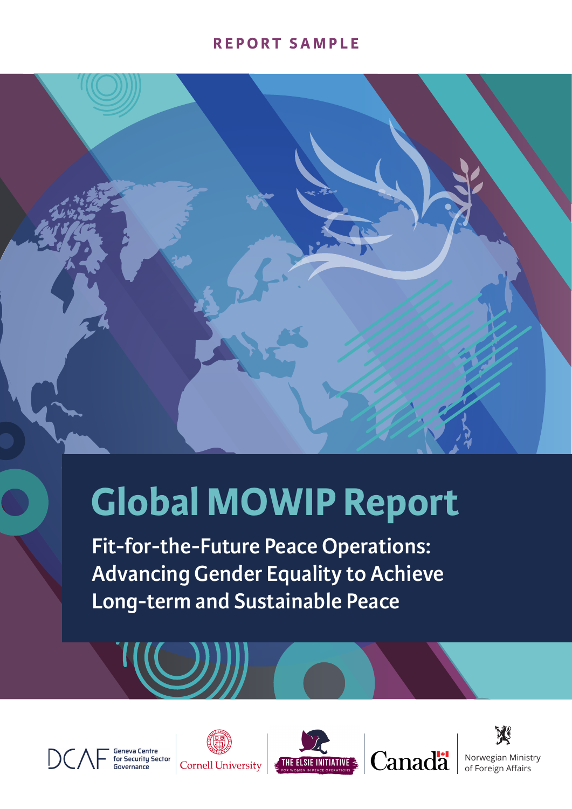### **REPORT SAMPLE**



# **Global MOWIP Report**

**Fit-for-the-Future Peace Operations: Advancing Gender Equality to Achieve Long-term and Sustainable Peace** 









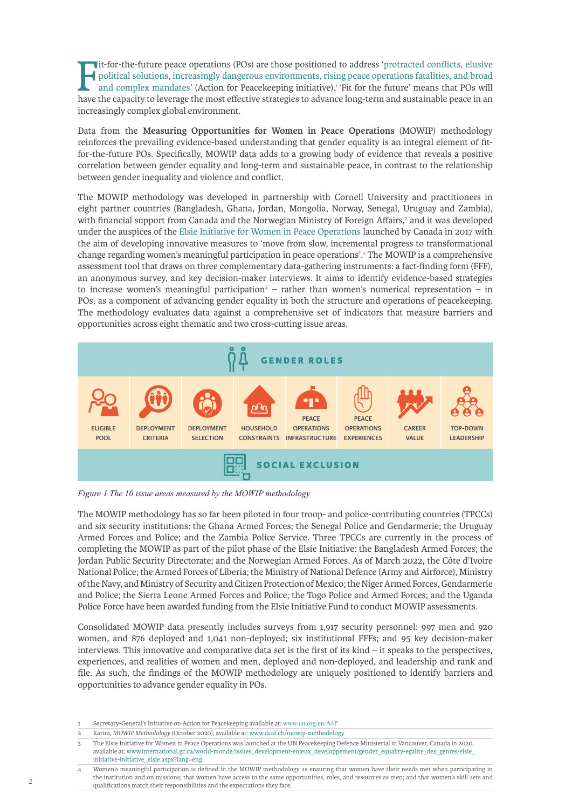It-for-the-future peace operations (POs) are those positioned to address 'protracted conflicts, elusive political solutions, increasingly dangerous environments, rising peace operations fatalities, and broad and complex ma it-for-the-future peace operations (POs) are those positioned to address '[protracted conflicts, elusive](https://www.un.org/en/A4P/)  [political solutions, increasingly dangerous environments, rising peace operations fatalities, and broad](https://www.un.org/en/A4P/) [and complex mandates'](https://www.un.org/en/A4P/) (Action for Peacekeeping initiative).<sup>1</sup> 'Fit for the future' means that POs will increasingly complex global environment.

Data from the **Measuring Opportunities for Women in Peace Operations** (MOWIP) methodology reinforces the prevailing evidence-based understanding that gender equality is an integral element of fitfor-the-future POs. Specifically, MOWIP data adds to a growing body of evidence that reveals a positive correlation between gender equality and long-term and sustainable peace, in contrast to the relationship between gender inequality and violence and conflict.

The MOWIP methodology was developed in partnership with Cornell University and practitioners in eight partner countries (Bangladesh, Ghana, Jordan, Mongolia, Norway, Senegal, Uruguay and Zambia), with financial support from Canada and the Norwegian Ministry of Foreign Affairs,<sup>2</sup> and it was developed under the auspices of the [Elsie Initiative for Women in Peace Operations](https://www.international.gc.ca/world-monde/issues_development-enjeux_developpement/gender_equality-egalite_des_genres/elsie_initiative-initiative_elsie.aspx?lang=eng) launched by Canada in 2017 with the aim of developing innovative measures to 'move from slow, incremental progress to transformational change regarding women's meaningful participation in peace operations'.<sup>3</sup> The MOWIP is a comprehensive assessment tool that draws on three complementary data-gathering instruments: a fact-finding form (FFF), an anonymous survey, and key decision-maker interviews. It aims to identify evidence-based strategies to increase women's meaningful participation<sup>4</sup> – rather than women's numerical representation – in POs, as a component of advancing gender equality in both the structure and operations of peacekeeping. The methodology evaluates data against a comprehensive set of indicators that measure barriers and opportunities across eight thematic and two cross-cutting issue areas.



*Figure 1 The 10 issue areas measured by the MOWIP methodology*

The MOWIP methodology has so far been piloted in four troop- and police-contributing countries (TPCCs) and six security institutions: the Ghana Armed Forces; the Senegal Police and Gendarmerie; the Uruguay Armed Forces and Police; and the Zambia Police Service. Three TPCCs are currently in the process of completing the MOWIP as part of the pilot phase of the Elsie Initiative: the Bangladesh Armed Forces; the Jordan Public Security Directorate; and the Norwegian Armed Forces. As of March 2022, the Côte d'Ivoire National Police; the Armed Forces of Liberia; the Ministry of National Defence (Army and Airforce), Ministry of the Navy, and Ministry of Security and Citizen Protection of Mexico; the Niger Armed Forces, Gendarmerie and Police; the Sierra Leone Armed Forces and Police; the Togo Police and Armed Forces; and the Uganda Police Force have been awarded funding from the Elsie Initiative Fund to conduct MOWIP assessments.

Consolidated MOWIP data presently includes surveys from 1,917 security personnel: 997 men and 920 women, and 876 deployed and 1,041 non-deployed; six institutional FFFs; and 95 key decision-maker interviews. This innovative and comparative data set is the first of its kind – it speaks to the perspectives, experiences, and realities of women and men, deployed and non-deployed, and leadership and rank and file. As such, the findings of the MOWIP methodology are uniquely positioned to identify barriers and opportunities to advance gender equality in POs.

- 1 Secretary-General's Initiative on Action for Peacekeeping available at: [www.un.org/en/A4P](https://www.un.org/en/A4P/)
- 2 Karim, *MOWIP Methodology* (October 2020), available at: [www.dcaf.ch/mowip-methodology](https://www.dcaf.ch/mowip-methodology)
- 3 The Elsie Initiative for Women in Peace Operations was launched at the UN Peacekeeping Defence Ministerial in Vancouver, Canada in 2020, available at: [www.international.gc.ca/world-monde/issues\\_development-enjeux\\_developpement/gender\\_equality-egalite\\_des\\_genres/elsie\\_](http://www.international.gc.ca/world-monde/issues_development-enjeux_developpement/gender_equality-egalite_des_genres/elsie_initiative-initiative_elsie.aspx?lang=eng) [initiative-initiative\\_elsie.aspx?lang=eng](http://www.international.gc.ca/world-monde/issues_development-enjeux_developpement/gender_equality-egalite_des_genres/elsie_initiative-initiative_elsie.aspx?lang=eng)
- 4 Women's meaningful participation is defined in the MOWIP methodology as ensuring that women have their needs met when participating in the institution and on missions; that women have access to the same opportunities, roles, and resources as men; and that women's skill sets and qualifications match their responsibilities and the expectations they face.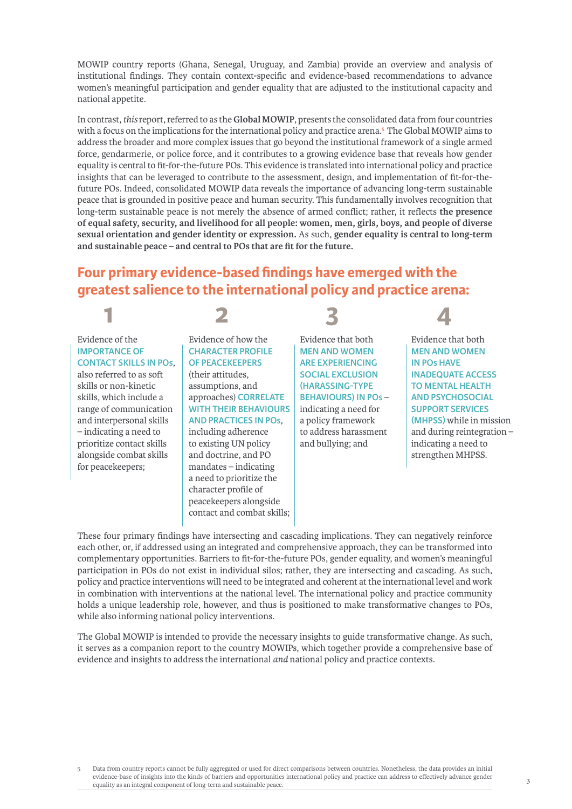MOWIP country reports (Ghana, Senegal, Uruguay, and Zambia) provide an overview and analysis of institutional findings. They contain context-specific and evidence-based recommendations to advance women's meaningful participation and gender equality that are adjusted to the institutional capacity and national appetite.

In contrast, *this* report, referred to as the **Global MOWIP**, presents the consolidated data from four countries with a focus on the implications for the international policy and practice arena.<sup>5</sup> The Global MOWIP aims to address the broader and more complex issues that go beyond the institutional framework of a single armed force, gendarmerie, or police force, and it contributes to a growing evidence base that reveals how gender equality is central to fit-for-the-future POs. This evidence is translated into international policy and practice insights that can be leveraged to contribute to the assessment, design, and implementation of fit-for-thefuture POs. Indeed, consolidated MOWIP data reveals the importance of advancing long-term sustainable peace that is grounded in positive peace and human security. This fundamentally involves recognition that long-term sustainable peace is not merely the absence of armed conflict; rather, it reflects **the presence of equal safety, security, and livelihood for all people: women, men, girls, boys, and people of diverse sexual orientation and gender identity or expression.** As such, **gender equality is central to long-term and sustainable peace – and central to POs that are fit for the future.**

### **Four primary evidence-based findings have emerged with the greatest salience to the international policy and practice arena:**

### Evidence of the **IMPORTANCE OF CONTACT SKILLS IN POs**,

**1**

also referred to as soft skills or non-kinetic skills, which include a range of communication and interpersonal skills – indicating a need to prioritize contact skills alongside combat skills for peacekeepers;

### Evidence of how the **CHARACTER PROFILE OF PEACEKEEPERS**

**2**

(their attitudes, assumptions, and approaches) **CORRELATE WITH THEIR BEHAVIOURS AND PRACTICES IN POs**,

including adherence to existing UN policy and doctrine, and PO mandates – indicating a need to prioritize the character profile of peacekeepers alongside contact and combat skills;

Evidence that both **MEN AND WOMEN ARE EXPERIENCING SOCIAL EXCLUSION (HARASSING-TYPE BEHAVIOURS) IN POs** – indicating a need for a policy framework to address harassment and bullying; and

**3**

**4** Evidence that both **MEN AND WOMEN IN POs HAVE INADEQUATE ACCESS TO MENTAL HEALTH AND PSYCHOSOCIAL SUPPORT SERVICES (MHPSS)** while in mission and during reintegration – indicating a need to strengthen MHPSS.

These four primary findings have intersecting and cascading implications. They can negatively reinforce each other, or, if addressed using an integrated and comprehensive approach, they can be transformed into complementary opportunities. Barriers to fit-for-the-future POs, gender equality, and women's meaningful participation in POs do not exist in individual silos; rather, they are intersecting and cascading. As such, policy and practice interventions will need to be integrated and coherent at the international level and work in combination with interventions at the national level. The international policy and practice community holds a unique leadership role, however, and thus is positioned to make transformative changes to POs, while also informing national policy interventions.

The Global MOWIP is intended to provide the necessary insights to guide transformative change. As such, it serves as a companion report to the country MOWIPs, which together provide a comprehensive base of evidence and insights to address the international *and* national policy and practice contexts.

5 Data from country reports cannot be fully aggregated or used for direct comparisons between countries. Nonetheless, the data provides an initial evidence-base of insights into the kinds of barriers and opportunities international policy and practice can address to effectively advance gender equality as an integral component of long-term and sustainable peace.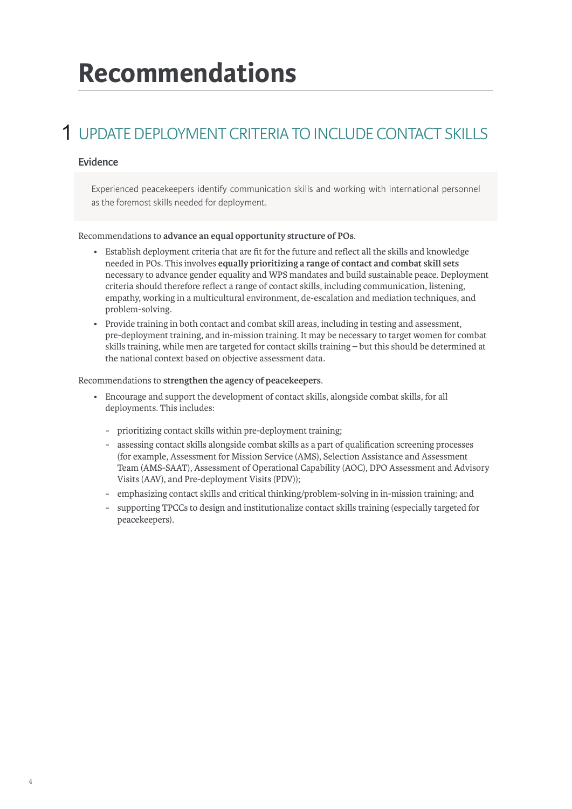## **Recommendations**

### UPDATE DEPLOYMENT CRITERIA TO INCLUDE CONTACT SKILLS 1

### **Evidence**

Experienced peacekeepers identify communication skills and working with international personnel as the foremost skills needed for deployment.

#### Recommendations to **advance an equal opportunity structure of POs**.

- Establish deployment criteria that are fit for the future and reflect all the skills and knowledge needed in POs. This involves **equally prioritizing a range of contact and combat skill sets** necessary to advance gender equality and WPS mandates and build sustainable peace. Deployment criteria should therefore reflect a range of contact skills, including communication, listening, empathy, working in a multicultural environment, de-escalation and mediation techniques, and problem-solving.
- Provide training in both contact and combat skill areas, including in testing and assessment, pre-deployment training, and in-mission training. It may be necessary to target women for combat skills training, while men are targeted for contact skills training – but this should be determined at the national context based on objective assessment data.

#### Recommendations to **strengthen the agency of peacekeepers**.

- Encourage and support the development of contact skills, alongside combat skills, for all deployments. This includes:
	- prioritizing contact skills within pre-deployment training;
	- assessing contact skills alongside combat skills as a part of qualification screening processes (for example, Assessment for Mission Service (AMS), Selection Assistance and Assessment Team (AMS-SAAT), Assessment of Operational Capability (AOC), DPO Assessment and Advisory Visits (AAV), and Pre-deployment Visits (PDV));
	- emphasizing contact skills and critical thinking/problem-solving in in-mission training; and
	- supporting TPCCs to design and institutionalize contact skills training (especially targeted for peacekeepers).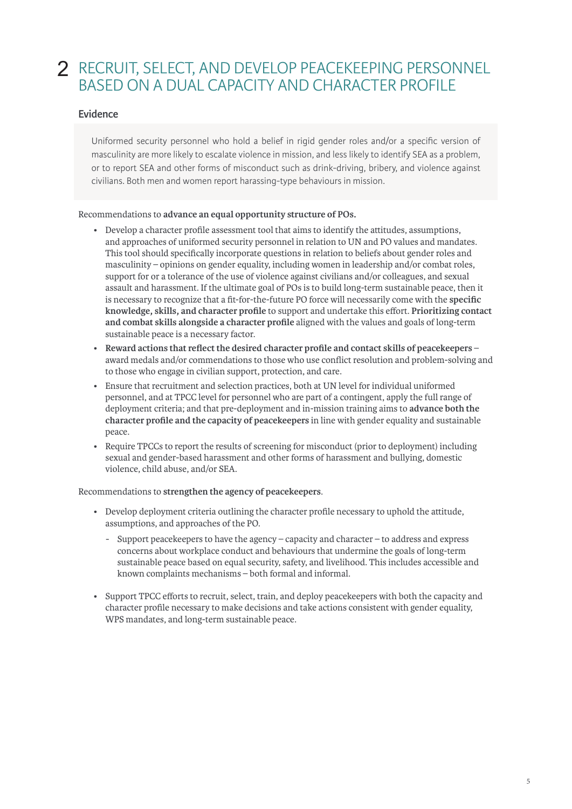### 2 RECRUIT, SELECT, AND DEVELOP PEACEKEEPING PERSONNEL BASED ON A DUAL CAPACITY AND CHARACTER PROFILE

### **Evidence**

Uniformed security personnel who hold a belief in rigid gender roles and/or a specific version of masculinity are more likely to escalate violence in mission, and less likely to identify SEA as a problem, or to report SEA and other forms of misconduct such as drink-driving, bribery, and violence against civilians. Both men and women report harassing-type behaviours in mission.

Recommendations to **advance an equal opportunity structure of POs.**

- Develop a character profile assessment tool that aims to identify the attitudes, assumptions, and approaches of uniformed security personnel in relation to UN and PO values and mandates. This tool should specifically incorporate questions in relation to beliefs about gender roles and masculinity – opinions on gender equality, including women in leadership and/or combat roles, support for or a tolerance of the use of violence against civilians and/or colleagues, and sexual assault and harassment. If the ultimate goal of POs is to build long-term sustainable peace, then it is necessary to recognize that a fit-for-the-future PO force will necessarily come with the **specific knowledge, skills, and character profile** to support and undertake this effort. **Prioritizing contact and combat skills alongside a character profile** aligned with the values and goals of long-term sustainable peace is a necessary factor.
- **Reward actions that reflect the desired character profile and contact skills of peacekeepers** award medals and/or commendations to those who use conflict resolution and problem-solving and to those who engage in civilian support, protection, and care.
- Ensure that recruitment and selection practices, both at UN level for individual uniformed personnel, and at TPCC level for personnel who are part of a contingent, apply the full range of deployment criteria; and that pre-deployment and in-mission training aims to **advance both the character profile and the capacity of peacekeepers** in line with gender equality and sustainable peace.
- Require TPCCs to report the results of screening for misconduct (prior to deployment) including sexual and gender-based harassment and other forms of harassment and bullying, domestic violence, child abuse, and/or SEA.

Recommendations to **strengthen the agency of peacekeepers**.

- Develop deployment criteria outlining the character profile necessary to uphold the attitude, assumptions, and approaches of the PO.
	- Support peacekeepers to have the agency capacity and character to address and express concerns about workplace conduct and behaviours that undermine the goals of long-term sustainable peace based on equal security, safety, and livelihood. This includes accessible and known complaints mechanisms – both formal and informal.
- Support TPCC efforts to recruit, select, train, and deploy peacekeepers with both the capacity and character profile necessary to make decisions and take actions consistent with gender equality, WPS mandates, and long-term sustainable peace.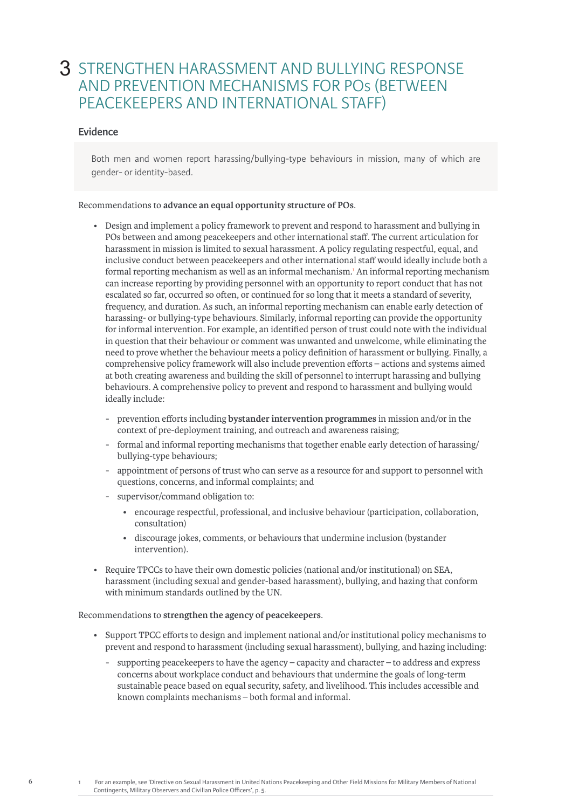### 3 STRENGTHEN HARASSMENT AND BULLYING RESPONSE AND PREVENTION MECHANISMS FOR POs (BETWEEN PEACEKEEPERS AND INTERNATIONAL STAFF)

### **Evidence**

Both men and women report harassing/bullying-type behaviours in mission, many of which are gender- or identity-based.

#### Recommendations to **advance an equal opportunity structure of POs**.

- Design and implement a policy framework to prevent and respond to harassment and bullying in POs between and among peacekeepers and other international staff. The current articulation for harassment in mission is limited to sexual harassment. A policy regulating respectful, equal, and inclusive conduct between peacekeepers and other international staff would ideally include both a formal reporting mechanism as well as an informal mechanism.<sup>1</sup> An informal reporting mechanism can increase reporting by providing personnel with an opportunity to report conduct that has not escalated so far, occurred so often, or continued for so long that it meets a standard of severity, frequency, and duration. As such, an informal reporting mechanism can enable early detection of harassing- or bullying-type behaviours. Similarly, informal reporting can provide the opportunity for informal intervention. For example, an identified person of trust could note with the individual in question that their behaviour or comment was unwanted and unwelcome, while eliminating the need to prove whether the behaviour meets a policy definition of harassment or bullying. Finally, a comprehensive policy framework will also include prevention efforts – actions and systems aimed at both creating awareness and building the skill of personnel to interrupt harassing and bullying behaviours. A comprehensive policy to prevent and respond to harassment and bullying would ideally include:
	- prevention efforts including **bystander intervention programmes** in mission and/or in the context of pre-deployment training, and outreach and awareness raising;
	- formal and informal reporting mechanisms that together enable early detection of harassing/ bullying-type behaviours;
	- appointment of persons of trust who can serve as a resource for and support to personnel with questions, concerns, and informal complaints; and
	- supervisor/command obligation to:
		- encourage respectful, professional, and inclusive behaviour (participation, collaboration, consultation)
		- discourage jokes, comments, or behaviours that undermine inclusion (bystander intervention).
- Require TPCCs to have their own domestic policies (national and/or institutional) on SEA, harassment (including sexual and gender-based harassment), bullying, and hazing that conform with minimum standards outlined by the UN.

#### Recommendations to **strengthen the agency of peacekeepers**.

- Support TPCC efforts to design and implement national and/or institutional policy mechanisms to prevent and respond to harassment (including sexual harassment), bullying, and hazing including:
	- supporting peacekeepers to have the agency capacity and character to address and express concerns about workplace conduct and behaviours that undermine the goals of long-term sustainable peace based on equal security, safety, and livelihood. This includes accessible and known complaints mechanisms – both formal and informal.

6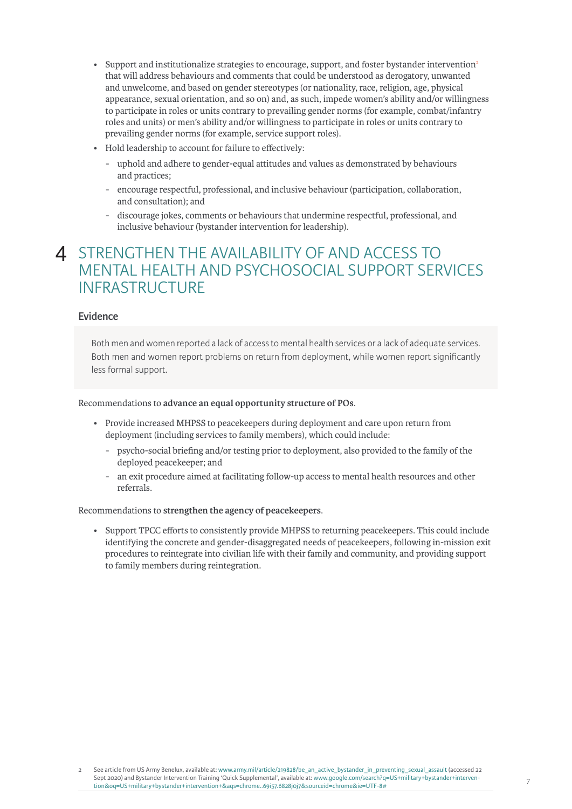- Support and institutionalize strategies to encourage, support, and foster bystander intervention<sup>2</sup> that will address behaviours and comments that could be understood as derogatory, unwanted and unwelcome, and based on gender stereotypes (or nationality, race, religion, age, physical appearance, sexual orientation, and so on) and, as such, impede women's ability and/or willingness to participate in roles or units contrary to prevailing gender norms (for example, combat/infantry roles and units) or men's ability and/or willingness to participate in roles or units contrary to prevailing gender norms (for example, service support roles).
- Hold leadership to account for failure to effectively:
	- uphold and adhere to gender-equal attitudes and values as demonstrated by behaviours and practices;
	- encourage respectful, professional, and inclusive behaviour (participation, collaboration, and consultation); and
	- discourage jokes, comments or behaviours that undermine respectful, professional, and inclusive behaviour (bystander intervention for leadership).

### 4 STRENGTHEN THE AVAILABILITY OF AND ACCESS TO MENTAL HEALTH AND PSYCHOSOCIAL SUPPORT SERVICES INFRASTRUCTURE

#### **Evidence**

Both men and women reported a lack of access to mental health services or a lack of adequate services. Both men and women report problems on return from deployment, while women report significantly less formal support.

#### Recommendations to **advance an equal opportunity structure of POs**.

- Provide increased MHPSS to peacekeepers during deployment and care upon return from deployment (including services to family members), which could include:
	- psycho-social briefing and/or testing prior to deployment, also provided to the family of the deployed peacekeeper; and
	- an exit procedure aimed at facilitating follow-up access to mental health resources and other referrals.

### Recommendations to **strengthen the agency of peacekeepers**.

• Support TPCC efforts to consistently provide MHPSS to returning peacekeepers. This could include identifying the concrete and gender-disaggregated needs of peacekeepers, following in-mission exit procedures to reintegrate into civilian life with their family and community, and providing support to family members during reintegration.

See article from US Army Benelux, available at: www.army.mil/article/219828/be\_an\_active\_bystander\_in\_preventing\_sexual\_assault (accessed 22 Sept 2020) and Bystander Intervention Training 'Quick Supplemental', available at: [www.google.com/search?q=US+military+bystander+interven](https://www.google.com/search?q=US+military+bystander+intervention&oq=US+military+bystander+intervention+&aqs=chrome..69i57.6828j0j7&sourceid=chrome&ie=UTF-8#)[tion&oq=US+military+bystander+intervention+&aqs=chrome..69i57.6828j0j7&sourceid=chrome&ie=UTF-8#](https://www.google.com/search?q=US+military+bystander+intervention&oq=US+military+bystander+intervention+&aqs=chrome..69i57.6828j0j7&sourceid=chrome&ie=UTF-8#)